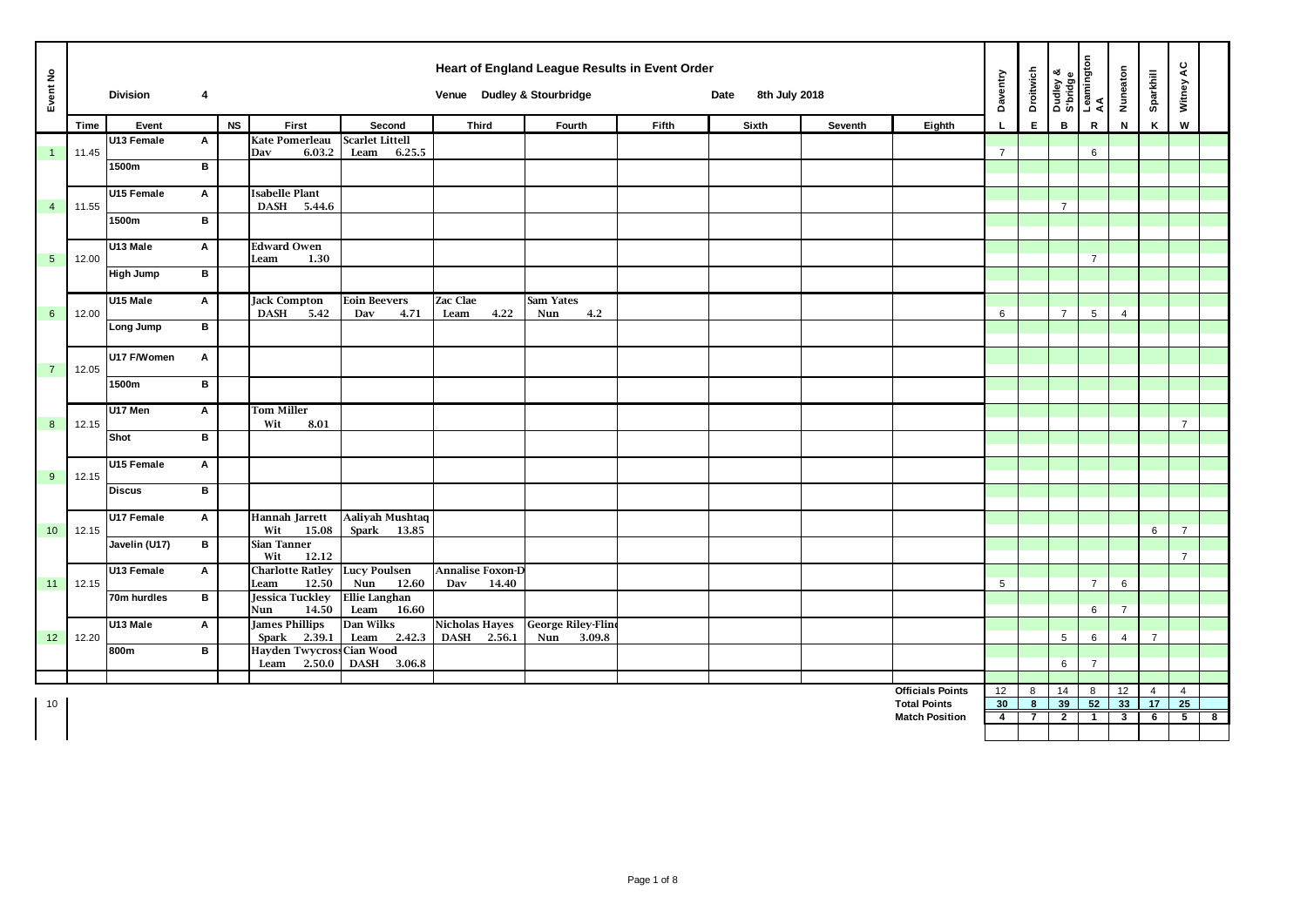| Event No        |       | <b>Division</b> | 4            |           |                                                            |                                          | Venue Dudley & Stourbridge | Heart of England League Results in Event Order |              | 8th July 2018<br>Date |         |                                                | Daventry       | Droitwich               |                | Dudley &<br>S'bridge<br>Leamington<br>AA | Nuneaton       | Sparkhill                         | Witney AC                              |
|-----------------|-------|-----------------|--------------|-----------|------------------------------------------------------------|------------------------------------------|----------------------------|------------------------------------------------|--------------|-----------------------|---------|------------------------------------------------|----------------|-------------------------|----------------|------------------------------------------|----------------|-----------------------------------|----------------------------------------|
|                 | Time  | Event           |              | <b>NS</b> | First                                                      | Second                                   | <b>Third</b>               | Fourth                                         | <b>Fifth</b> | Sixth                 | Seventh | Eighth                                         |                | E                       | B              | $\mathbf R$                              | N              | K                                 | W                                      |
| $\overline{1}$  | 11.45 | U13 Female      | A            |           | <b>Kate Pomerleau</b><br>6.03.2<br>Dav                     | <b>Scarlet Littell</b><br>Leam<br>6.25.5 |                            |                                                |              |                       |         |                                                | $\overline{7}$ |                         |                | 6                                        |                |                                   |                                        |
|                 |       | 1500m           | в            |           |                                                            |                                          |                            |                                                |              |                       |         |                                                |                |                         |                |                                          |                |                                   |                                        |
|                 |       |                 |              |           |                                                            |                                          |                            |                                                |              |                       |         |                                                |                |                         |                |                                          |                |                                   |                                        |
|                 |       | U15 Female      | Α            |           | <b>Isabelle Plant</b>                                      |                                          |                            |                                                |              |                       |         |                                                |                |                         |                |                                          |                |                                   |                                        |
| $\overline{4}$  | 11.55 | 1500m           | в            |           | DASH 5.44.6                                                |                                          |                            |                                                |              |                       |         |                                                |                |                         | $\overline{7}$ |                                          |                |                                   |                                        |
|                 |       |                 |              |           |                                                            |                                          |                            |                                                |              |                       |         |                                                |                |                         |                |                                          |                |                                   |                                        |
| $5\phantom{.0}$ |       | U13 Male        | A            |           | <b>Edward Owen</b><br>1.30<br>Leam                         |                                          |                            |                                                |              |                       |         |                                                |                |                         |                | $\overline{7}$                           |                |                                   |                                        |
|                 | 12.00 | High Jump       | В            |           |                                                            |                                          |                            |                                                |              |                       |         |                                                |                |                         |                |                                          |                |                                   |                                        |
|                 |       |                 |              |           |                                                            |                                          |                            |                                                |              |                       |         |                                                |                |                         |                |                                          |                |                                   |                                        |
|                 |       | U15 Male        | A            |           | <b>Jack Compton</b>                                        | <b>Eoin Beevers</b>                      | <b>Zac Clae</b>            | Sam Yates                                      |              |                       |         |                                                |                |                         | $\overline{7}$ |                                          |                |                                   |                                        |
| $6\phantom{a}$  | 12.00 | Long Jump       | в            |           | DASH 5.42                                                  | Dav<br>4.71                              | 4.22<br>Leam               | 4.2<br>Nun                                     |              |                       |         |                                                | 6              |                         |                | 5                                        | $\overline{4}$ |                                   |                                        |
|                 |       |                 |              |           |                                                            |                                          |                            |                                                |              |                       |         |                                                |                |                         |                |                                          |                |                                   |                                        |
|                 |       | U17 F/Women     | A            |           |                                                            |                                          |                            |                                                |              |                       |         |                                                |                |                         |                |                                          |                |                                   |                                        |
| $\overline{7}$  | 12.05 |                 | B            |           |                                                            |                                          |                            |                                                |              |                       |         |                                                |                |                         |                |                                          |                |                                   |                                        |
|                 |       | 1500m           |              |           |                                                            |                                          |                            |                                                |              |                       |         |                                                |                |                         |                |                                          |                |                                   |                                        |
|                 |       | U17 Men         | $\mathsf{A}$ |           | <b>Tom Miller</b>                                          |                                          |                            |                                                |              |                       |         |                                                |                |                         |                |                                          |                |                                   |                                        |
| 8               | 12.15 | Shot            | B            |           | 8.01<br>Wit                                                |                                          |                            |                                                |              |                       |         |                                                |                |                         |                |                                          |                |                                   | $\overline{7}$                         |
|                 |       |                 |              |           |                                                            |                                          |                            |                                                |              |                       |         |                                                |                |                         |                |                                          |                |                                   |                                        |
|                 |       | U15 Female      | A            |           |                                                            |                                          |                            |                                                |              |                       |         |                                                |                |                         |                |                                          |                |                                   |                                        |
| 9               | 12.15 | <b>Discus</b>   | в            |           |                                                            |                                          |                            |                                                |              |                       |         |                                                |                |                         |                |                                          |                |                                   |                                        |
|                 |       |                 |              |           |                                                            |                                          |                            |                                                |              |                       |         |                                                |                |                         |                |                                          |                |                                   |                                        |
|                 |       | U17 Female      | A            |           | <b>Hannah Jarrett</b>                                      | <b>Aaliyah Mushtaq</b>                   |                            |                                                |              |                       |         |                                                |                |                         |                |                                          |                |                                   |                                        |
| 10              | 12.15 | Javelin (U17)   | в            |           | Wit<br>15.08<br>Sian Tanner                                | Spark<br>13.85                           |                            |                                                |              |                       |         |                                                |                |                         |                |                                          |                | 6                                 | $\overline{7}$                         |
|                 |       |                 |              |           | 12.12<br>Wit                                               |                                          |                            |                                                |              |                       |         |                                                |                |                         |                |                                          |                |                                   | $\overline{7}$                         |
|                 |       | U13 Female      | A            |           | <b>Charlotte Ratley</b>                                    | <b>Lucy Poulsen</b>                      | <b>Annalise Foxon-D</b>    |                                                |              |                       |         |                                                |                |                         |                |                                          |                |                                   |                                        |
| 11              | 12.15 | 70m hurdles     | B            |           | 12.50<br>Leam<br><b>Jessica Tuckley</b>                    | Nun<br>12.60<br><b>Ellie Langhan</b>     | Dav<br>14.40               |                                                |              |                       |         |                                                | 5              |                         |                | $\overline{7}$                           | 6              |                                   |                                        |
|                 |       |                 |              |           | 14.50<br>Nun                                               | Leam<br>16.60                            |                            |                                                |              |                       |         |                                                |                |                         |                | 6                                        | $\overline{7}$ |                                   |                                        |
|                 |       | U13 Male        | Α            |           | <b>James Phillips</b>                                      | Dan Wilks                                | <b>Nicholas Hayes</b>      | <b>George Riley-Fline</b>                      |              |                       |         |                                                |                |                         |                |                                          |                |                                   |                                        |
| 12              | 12.20 | 800m            | В            |           | 2.39.1<br><b>Spark</b><br><b>Hayden Twycross Cian Wood</b> | Leam<br>2.42.3                           | DASH 2.56.1                | Nun<br>3.09.8                                  |              |                       |         |                                                |                |                         | 5              | 6                                        | $\overline{4}$ | $\overline{7}$                    |                                        |
|                 |       |                 |              |           | Leam 2.50.0                                                | DASH 3.06.8                              |                            |                                                |              |                       |         |                                                |                |                         | 6              | $\overline{7}$                           |                |                                   |                                        |
|                 |       |                 |              |           |                                                            |                                          |                            |                                                |              |                       |         |                                                |                |                         |                |                                          |                |                                   |                                        |
| 10              |       |                 |              |           |                                                            |                                          |                            |                                                |              |                       |         | <b>Officials Points</b><br><b>Total Points</b> | 12<br>30       | 8<br>8                  | 14<br>39       | 8<br>52                                  | 12<br>33       | $\overline{4}$<br>17 <sub>2</sub> | $\overline{4}$<br>25                   |
|                 |       |                 |              |           |                                                            |                                          |                            |                                                |              |                       |         | <b>Match Position</b>                          | 4              | $\overline{\mathbf{r}}$ | $\overline{2}$ | $\mathbf{1}$                             | 3              | 6                                 | $5^{\circ}$<br>$\overline{\mathbf{8}}$ |
|                 |       |                 |              |           |                                                            |                                          |                            |                                                |              |                       |         |                                                |                |                         |                |                                          |                |                                   |                                        |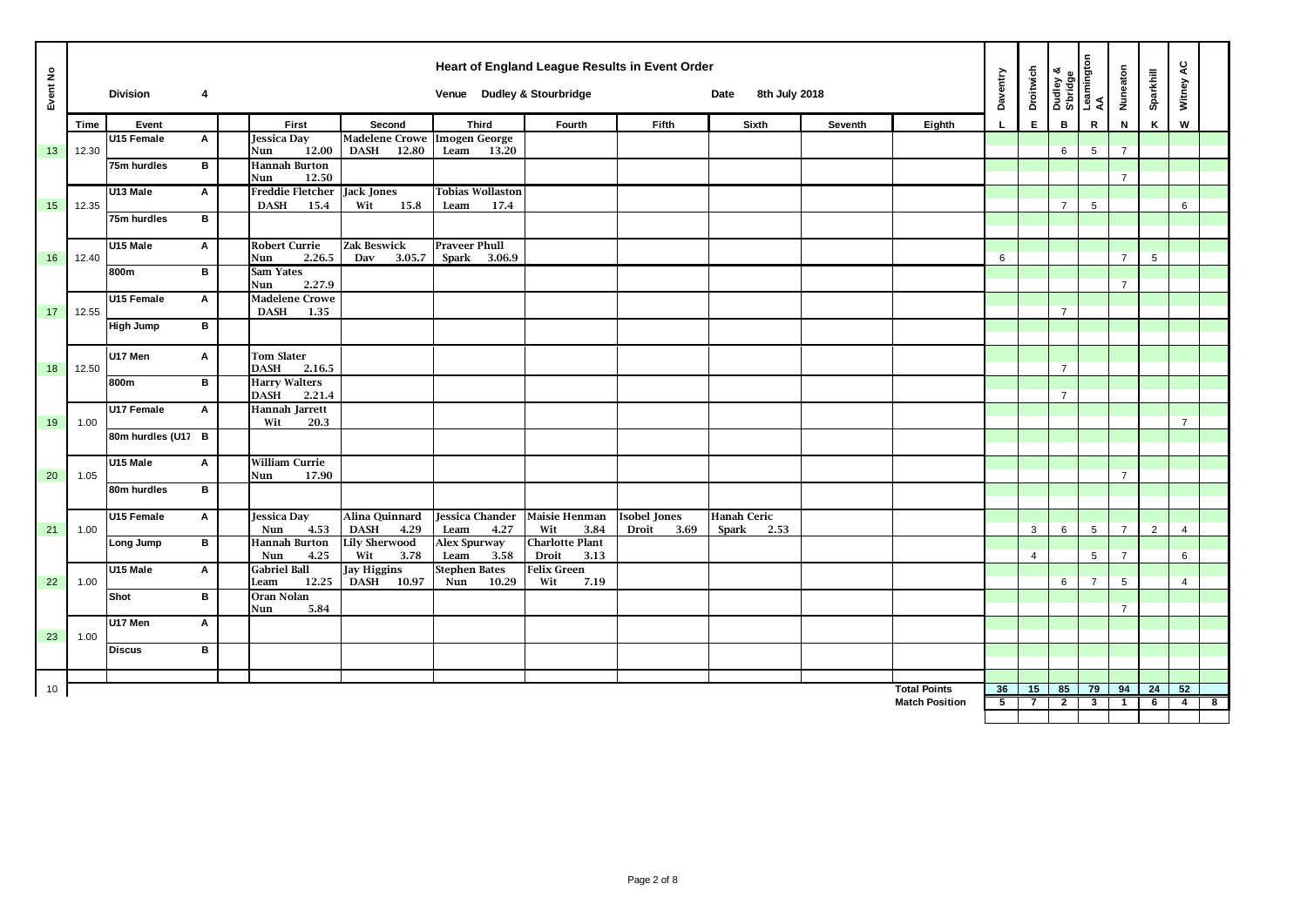| Event No |       | <b>Division</b>    | 4            |                                                |                                                   | Venue Dudley & Stourbridge              |                                       | Heart of England League Results in Event Order | 8th July 2018<br>Date |         |                       | Daventry       | <b>Droitwich</b> | Dudley &<br>S'bridge<br>Leamington<br>AA |                | Nuneaton        | Sparkhill | Witney AC      |                         |
|----------|-------|--------------------|--------------|------------------------------------------------|---------------------------------------------------|-----------------------------------------|---------------------------------------|------------------------------------------------|-----------------------|---------|-----------------------|----------------|------------------|------------------------------------------|----------------|-----------------|-----------|----------------|-------------------------|
|          | Time  | Event              |              | First                                          | Second                                            | <b>Third</b>                            | Fourth                                | Fifth                                          | Sixth                 | Seventh | Eighth                | L              | E.               | $\mathbf B$                              | R              | ${\sf N}$       | K         | W              |                         |
| 13       | 12.30 | U15 Female         | Α            | Jessica Day<br>12.00<br>Nun                    | <b>Madelene Crowe Imogen George</b><br>DASH 12.80 | Leam<br>13.20                           |                                       |                                                |                       |         |                       |                |                  | $6\phantom{.0}$                          | 5              | $\overline{7}$  |           |                |                         |
|          |       | 75m hurdles        | B            | <b>Hannah Burton</b><br>12.50<br>Nun           |                                                   |                                         |                                       |                                                |                       |         |                       |                |                  |                                          |                | $\overline{7}$  |           |                |                         |
| 15       | 12.35 | U13 Male           | A            | <b>Freddie Fletcher</b><br><b>DASH</b><br>15.4 | <b>Jack Jones</b><br>Wit<br>15.8                  | <b>Tobias Wollaston</b><br>Leam<br>17.4 |                                       |                                                |                       |         |                       |                |                  | $\overline{7}$                           | 5              |                 |           | 6              |                         |
|          |       | 75m hurdles        | $\, {\bf B}$ |                                                |                                                   |                                         |                                       |                                                |                       |         |                       |                |                  |                                          |                |                 |           |                |                         |
| 16       | 12.40 | U15 Male           | Α            | <b>Robert Currie</b><br>2.26.5<br>Nun          | <b>Zak Beswick</b><br>Dav<br>3.05.7               | <b>Praveer Phull</b><br>Spark 3.06.9    |                                       |                                                |                       |         |                       | 6              |                  |                                          |                | $\overline{7}$  | 5         |                |                         |
|          |       | 800m               | B            | Sam Yates<br>2.27.9<br>Nun                     |                                                   |                                         |                                       |                                                |                       |         |                       |                |                  |                                          |                | $\overline{7}$  |           |                |                         |
| 17       | 12.55 | U15 Female         | Α            | <b>Madelene Crowe</b><br><b>DASH</b><br>1.35   |                                                   |                                         |                                       |                                                |                       |         |                       |                |                  | $\overline{7}$                           |                |                 |           |                |                         |
|          |       | <b>High Jump</b>   | B            |                                                |                                                   |                                         |                                       |                                                |                       |         |                       |                |                  |                                          |                |                 |           |                |                         |
| 18       | 12.50 | U17 Men            | A            | <b>Tom Slater</b><br><b>DASH</b><br>2.16.5     |                                                   |                                         |                                       |                                                |                       |         |                       |                |                  | $\overline{7}$                           |                |                 |           |                |                         |
|          |       | 800m               | $\, {\bf B}$ | <b>Harry Walters</b><br>2.21.4<br><b>DASH</b>  |                                                   |                                         |                                       |                                                |                       |         |                       |                |                  | $\overline{7}$                           |                |                 |           |                |                         |
| 19       | 1.00  | <b>U17 Female</b>  | Α            | <b>Hannah Jarrett</b><br>20.3<br>Wit           |                                                   |                                         |                                       |                                                |                       |         |                       |                |                  |                                          |                |                 |           | $\overline{7}$ |                         |
|          |       | 80m hurdles (U17 B |              |                                                |                                                   |                                         |                                       |                                                |                       |         |                       |                |                  |                                          |                |                 |           |                |                         |
| 20       | 1.05  | U15 Male           | Α            | <b>William Currie</b><br>17.90<br>Nun          |                                                   |                                         |                                       |                                                |                       |         |                       |                |                  |                                          |                | $\overline{7}$  |           |                |                         |
|          |       | 80m hurdles        | B            |                                                |                                                   |                                         |                                       |                                                |                       |         |                       |                |                  |                                          |                |                 |           |                |                         |
|          |       | U15 Female         | Α            | Jessica Day                                    | Alina Quinnard                                    | <b>Jessica</b> Chander                  | <b>Maisie Henman</b>                  | <b>Isobel Jones</b>                            | <b>Hanah Ceric</b>    |         |                       |                |                  |                                          |                | $\overline{7}$  |           |                |                         |
| 21       | 1.00  | Long Jump          | $\, {\bf B}$ | 4.53<br>Nun<br><b>Hannah Burton</b>            | <b>DASH</b><br>4.29<br><b>Lily Sherwood</b>       | Leam<br>4.27<br>Alex Spurway            | Wit<br>3.84<br><b>Charlotte Plant</b> | 3.69<br>Droit                                  | <b>Spark</b><br>2.53  |         |                       |                | 3                | 6                                        | 5              | $\overline{7}$  | 2         | $\overline{4}$ |                         |
|          |       | U15 Male           | A            | 4.25<br>Nun<br><b>Gabriel Ball</b>             | Wit<br>3.78<br><b>Jay Higgins</b>                 | Leam<br>3.58<br><b>Stephen Bates</b>    | Droit<br>3.13<br><b>Felix Green</b>   |                                                |                       |         |                       |                | 4                |                                          | 5              |                 |           | 6              |                         |
| 22       | 1.00  | Shot               | B            | 12.25<br>Leam<br>Oran Nolan                    | <b>DASH</b><br>10.97                              | 10.29<br>Nun                            | Wit<br>7.19                           |                                                |                       |         |                       |                |                  | 6                                        | $\overline{7}$ | $5\overline{)}$ |           | $\overline{4}$ |                         |
|          |       | U17 Men            | A            | 5.84<br>Nun                                    |                                                   |                                         |                                       |                                                |                       |         |                       |                |                  |                                          |                | $\overline{7}$  |           |                |                         |
| 23       | 1.00  | <b>Discus</b>      | в            |                                                |                                                   |                                         |                                       |                                                |                       |         |                       |                |                  |                                          |                |                 |           |                |                         |
|          |       |                    |              |                                                |                                                   |                                         |                                       |                                                |                       |         |                       |                |                  |                                          |                |                 |           |                |                         |
| 10       |       |                    |              |                                                |                                                   |                                         |                                       |                                                |                       |         | <b>Total Points</b>   | 36             | 15               | 85                                       | 79             | 94              | 24        | 52             |                         |
|          |       |                    |              |                                                |                                                   |                                         |                                       |                                                |                       |         | <b>Match Position</b> | 5 <sup>5</sup> | $\overline{7}$   | $\overline{2}$                           | 3              | $\mathbf{1}$    | 6         | $\overline{4}$ | $\overline{\mathbf{8}}$ |
|          |       |                    |              |                                                |                                                   |                                         |                                       |                                                |                       |         |                       |                |                  |                                          |                |                 |           |                |                         |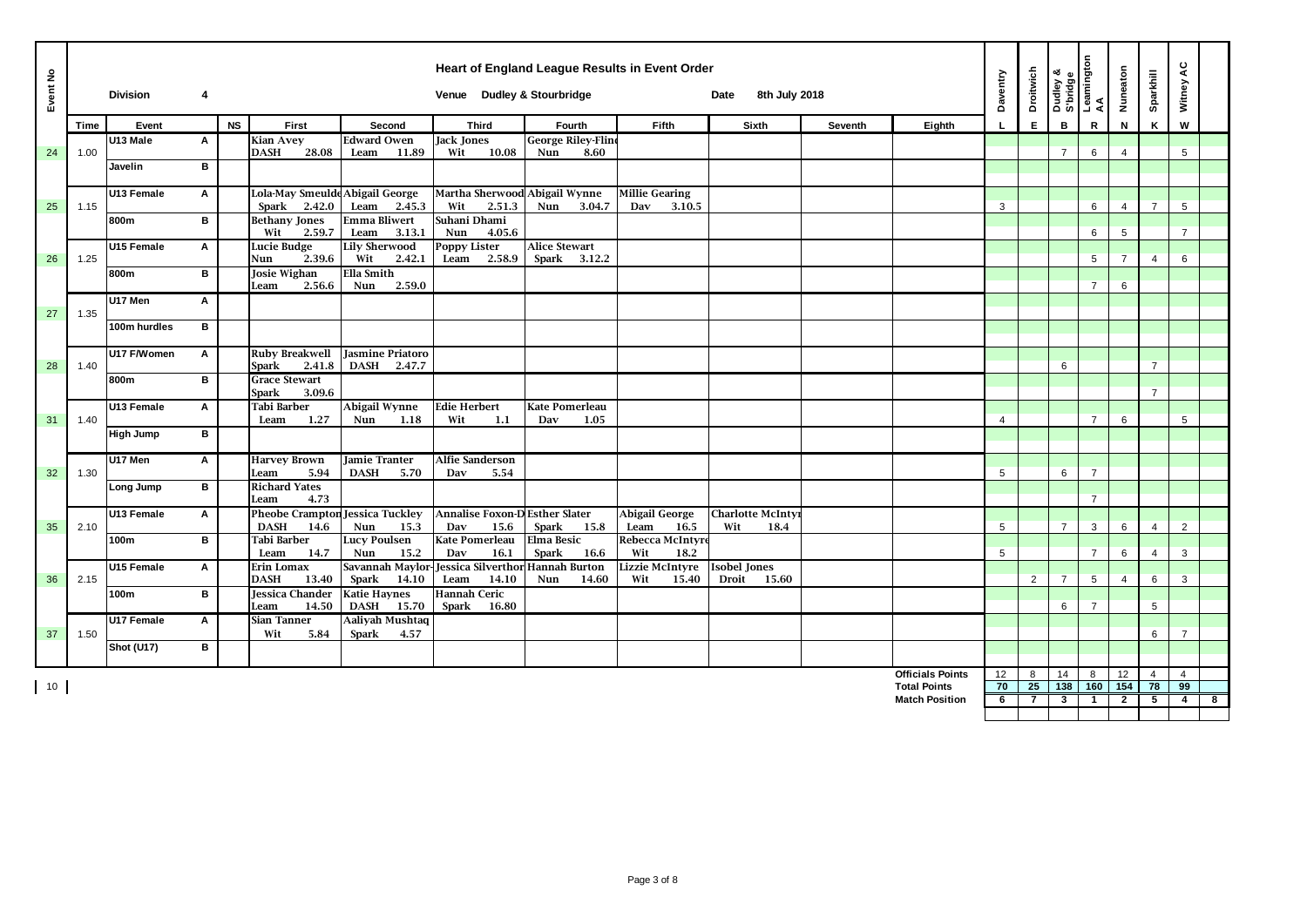| Event No |      | <b>Division</b>  | 4 |           |                                                    |                                                         | Heart of England League Results in Event Order<br>Venue Dudley & Stourbridge |                                          |                                        | 8th July 2018<br>Date                 |         |                         | Daventry       | <b>Droitwich</b> | Dudley &<br>S'bridge | Leamington<br>AA | Nuneaton       | Sparkhill      | Witney AC            |   |
|----------|------|------------------|---|-----------|----------------------------------------------------|---------------------------------------------------------|------------------------------------------------------------------------------|------------------------------------------|----------------------------------------|---------------------------------------|---------|-------------------------|----------------|------------------|----------------------|------------------|----------------|----------------|----------------------|---|
|          | Time | Event            |   | <b>NS</b> | First                                              | Second                                                  | <b>Third</b>                                                                 | Fourth                                   | Fifth                                  | Sixth                                 | Seventh | Eighth                  |                | E.               | B                    | $\mathsf R$      | N              | K              | W                    |   |
| 24       | 1.00 | U13 Male         | Α |           | <b>Kian Avey</b><br>28.08<br><b>DASH</b>           | <b>Edward Owen</b><br>Leam<br>11.89                     | Jack Jones<br>10.08<br>Wit                                                   | <b>George Riley-Fline</b><br>8.60<br>Nun |                                        |                                       |         |                         |                |                  | $\overline{7}$       | 6                | $\overline{4}$ |                | 5                    |   |
|          |      | Javelin          | B |           |                                                    |                                                         |                                                                              |                                          |                                        |                                       |         |                         |                |                  |                      |                  |                |                |                      |   |
| 25       | 1.15 | U13 Female       | Α |           | Lola-May Smeulde Abigail George<br>2.42.0<br>Spark | Leam<br>2.45.3                                          | Martha Sherwood Abigail Wynne<br>Wit<br>2.51.3                               | Nun<br>3.04.7                            | <b>Millie Gearing</b><br>Dav<br>3.10.5 |                                       |         |                         | 3              |                  |                      | 6                | $\overline{4}$ | $\overline{7}$ | 5                    |   |
|          |      | 800m             | B |           | <b>Bethany Jones</b>                               | <b>Emma Bliwert</b>                                     | Suhani Dhami                                                                 |                                          |                                        |                                       |         |                         |                |                  |                      |                  |                |                |                      |   |
|          |      | U15 Female       | A |           | Wit<br>2.59.7<br>Lucie Budge                       | Leam<br>3.13.1<br><b>Lily Sherwood</b><br>2.42.1<br>Wit | Nun<br>4.05.6<br><b>Poppy Lister</b><br>Leam<br>2.58.9                       | <b>Alice Stewart</b><br>Spark 3.12.2     |                                        |                                       |         |                         |                |                  |                      | 6                | 5              |                | $\overline{7}$       |   |
| 26       | 1.25 | 800m             | B |           | 2.39.6<br>Nun<br>Josie Wighan                      |                                                         |                                                                              |                                          |                                        |                                       | 5       | $\overline{7}$          | $\overline{4}$ | 6                |                      |                  |                |                |                      |   |
|          |      | U17 Men          | A |           | 2.56.6<br>Leam                                     | 2.59.0<br>Nun                                           |                                                                              |                                          |                                        |                                       |         |                         |                |                  |                      | $\overline{7}$   | 6              |                |                      |   |
| 27       | 1.35 | 100m hurdles     | B |           |                                                    |                                                         |                                                                              |                                          |                                        |                                       |         |                         |                |                  |                      |                  |                |                |                      |   |
|          |      |                  |   |           |                                                    |                                                         |                                                                              |                                          |                                        |                                       |         |                         |                |                  |                      |                  |                |                |                      |   |
| 28       | 1.40 | U17 F/Women      | A |           | <b>Ruby Breakwell</b><br>2.41.8<br>Spark           | <b>Jasmine Priatoro</b><br>DASH 2.47.7                  |                                                                              |                                          |                                        |                                       |         |                         |                |                  | 6                    |                  |                | $\overline{7}$ |                      |   |
|          |      | 800m             | B |           | <b>Grace Stewart</b><br>3.09.6<br>Spark            |                                                         |                                                                              |                                          |                                        |                                       |         |                         |                |                  |                      |                  |                | $\overline{7}$ |                      |   |
| 31       | 1.40 | U13 Female       | A |           | Tabi Barber<br>1.27<br>Leam                        | Abigail Wynne<br>Nun<br>1.18                            | <b>Edie Herbert</b><br>Wit<br>1.1                                            | <b>Kate Pomerleau</b><br>1.05<br>Dav     |                                        |                                       |         |                         | $\overline{4}$ |                  |                      | $\overline{7}$   | 6              |                | 5                    |   |
|          |      | <b>High Jump</b> | в |           |                                                    |                                                         |                                                                              |                                          |                                        |                                       |         |                         |                |                  |                      |                  |                |                |                      |   |
|          |      | U17 Men          | A |           | <b>Harvey Brown</b>                                | Jamie Tranter                                           | <b>Alfie Sanderson</b>                                                       |                                          |                                        |                                       |         |                         |                |                  |                      |                  |                |                |                      |   |
| 32       | 1.30 | Long Jump        | в |           | 5.94<br>Leam<br><b>Richard Yates</b>               | <b>DASH</b><br>5.70                                     | Dav<br>5.54                                                                  |                                          |                                        |                                       |         |                         | 5              |                  | 6                    | $\overline{7}$   |                |                |                      |   |
|          |      | U13 Female       | Α |           | 4.73<br>Leam<br><b>Pheobe Crampton</b>             | Jessica Tuckley                                         | <b>Annalise Foxon-D Esther Slater</b>                                        |                                          | <b>Abigail George</b>                  | <b>Charlotte McInty</b>               |         |                         |                |                  |                      | $\overline{7}$   |                |                |                      |   |
| 35       | 2.10 |                  |   |           | <b>DASH</b><br>14.6                                | Nun<br>15.3                                             | Dav<br>15.6                                                                  | <b>Spark</b><br>15.8                     | Leam<br>16.5                           | Wit<br>18.4                           |         |                         | 5              |                  | $\overline{7}$       | 3                | 6              | $\overline{4}$ | $\overline{2}$       |   |
|          |      | 100m             | B |           | Tabi Barber<br>14.7<br>Leam                        | <b>Lucy Poulsen</b><br>Nun<br>15.2                      | <b>Kate Pomerleau</b><br>Dav<br>16.1                                         | <b>Elma Besic</b><br>16.6<br>Spark       | Rebecca McIntyr<br>Wit<br>18.2         |                                       |         |                         | 5              |                  |                      | $\overline{7}$   | 6              | $\overline{4}$ | 3                    |   |
| 36       | 2.15 | U15 Female       | Α |           | Erin Lomax<br>13.40<br><b>DASH</b>                 | Spark<br>14.10                                          | Savannah Maylor-Jessica Silverthor Hannah Burton<br>Leam<br>14.10            | Nun<br>14.60                             | Lizzie McIntyre<br>15.40<br>Wit        | <b>Isobel Jones</b><br>Droit<br>15.60 |         |                         |                | $\overline{2}$   | $\overline{7}$       | $5\overline{5}$  | $\overline{4}$ | 6              | 3                    |   |
|          |      | 100m             | B |           | Jessica Chander<br>14.50<br>Leam                   | <b>Katie Haynes</b><br><b>DASH</b><br>15.70             | <b>Hannah Ceric</b><br>Spark<br>16.80                                        |                                          |                                        |                                       |         |                         |                |                  | 6                    | $\overline{7}$   |                | 5              |                      |   |
| 37       | 1.50 | U17 Female       | Α |           | Sian Tanner<br>Wit<br>5.84                         | <b>Aaliyah Mushtaq</b><br>Spark<br>4.57                 |                                                                              |                                          |                                        |                                       |         |                         |                |                  |                      |                  |                | 6              | $\overline{7}$       |   |
|          |      | Shot (U17)       | в |           |                                                    |                                                         |                                                                              |                                          |                                        |                                       |         |                         |                |                  |                      |                  |                |                |                      |   |
|          |      |                  |   |           |                                                    |                                                         |                                                                              |                                          |                                        |                                       |         | <b>Officials Points</b> |                |                  |                      |                  |                | $\overline{4}$ |                      |   |
| 10       |      |                  |   |           |                                                    |                                                         |                                                                              |                                          |                                        |                                       |         | <b>Total Points</b>     | 12<br>70       | 8<br>25          | 14<br>138            | 8<br>160         | 12<br>154      | 78             | $\overline{4}$<br>99 |   |
|          |      |                  |   |           |                                                    |                                                         |                                                                              |                                          |                                        |                                       |         | <b>Match Position</b>   | 6              | $\overline{7}$   | $\mathbf{3}$         | $\mathbf{1}$     | $\overline{2}$ | 5              | $4 \mid$             | 8 |
|          |      |                  |   |           |                                                    |                                                         |                                                                              |                                          |                                        |                                       |         |                         |                |                  |                      |                  |                |                |                      |   |
|          |      |                  |   |           |                                                    |                                                         |                                                                              |                                          |                                        |                                       |         |                         |                |                  |                      |                  |                |                |                      |   |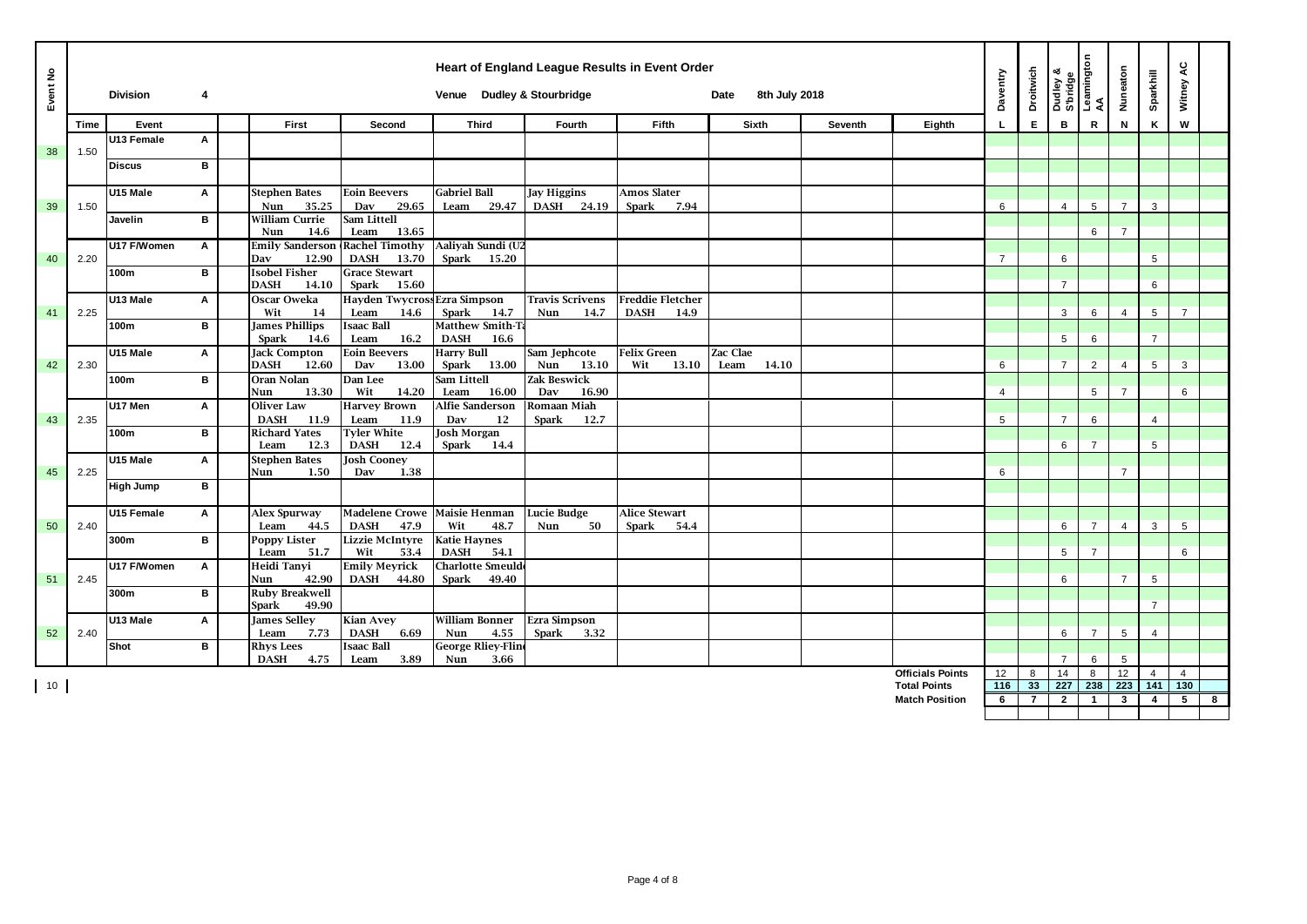| Event No |      | <b>Division</b>  | 4 |                                             |                                                       | Heart of England League Results in Event Order<br>Venue Dudley & Stourbridge |                              |                                              | 8th July 2018<br>Date     |                |                         | Daventry       | <b>Droitwich</b> | Dudley &<br>S'bridge<br>Leamington<br>AA |                | Nuneaton       | Sparkhill       | Witney AC       |   |
|----------|------|------------------|---|---------------------------------------------|-------------------------------------------------------|------------------------------------------------------------------------------|------------------------------|----------------------------------------------|---------------------------|----------------|-------------------------|----------------|------------------|------------------------------------------|----------------|----------------|-----------------|-----------------|---|
|          | Time | Event            |   | First                                       | Second                                                | <b>Third</b>                                                                 | Fourth                       | Fifth                                        | <b>Sixth</b>              | <b>Seventh</b> | Eighth                  |                | E.               | B                                        | R              | N              | K               | W               |   |
|          |      | U13 Female       | Α |                                             |                                                       |                                                                              |                              |                                              |                           |                |                         |                |                  |                                          |                |                |                 |                 |   |
| 38       | 1.50 | <b>Discus</b>    | B |                                             |                                                       |                                                                              |                              |                                              |                           |                |                         |                |                  |                                          |                |                |                 |                 |   |
|          |      |                  |   |                                             |                                                       |                                                                              |                              |                                              |                           |                |                         |                |                  |                                          |                |                |                 |                 |   |
|          |      | U15 Male         | Α | <b>Stephen Bates</b>                        | <b>Eoin Beevers</b>                                   | <b>Gabriel Ball</b>                                                          | <b>Jay Higgins</b>           | <b>Amos Slater</b>                           |                           |                |                         |                |                  |                                          |                |                |                 |                 |   |
| 39       | 1.50 |                  |   | 35.25<br>Nun                                | 29.65<br>Dav                                          | 29.47<br>Leam                                                                | <b>DASH</b><br>24.19         | <b>Spark</b><br>7.94                         |                           |                |                         | 6              |                  | $\overline{4}$                           | 5              | $\overline{7}$ | 3               |                 |   |
|          |      | Javelin          | B | William Currie<br>Nun<br>14.6               | Sam Littell<br>13.65<br>Leam                          |                                                                              |                              |                                              |                           |                |                         |                |                  |                                          | 6              | $\overline{7}$ |                 |                 |   |
|          |      | U17 F/Women      | A | <b>Emily Sanderson</b>                      | <b>Rachel Timothy</b>                                 | Aaliyah Sundi (U2                                                            |                              |                                              |                           |                |                         |                |                  |                                          |                |                |                 |                 |   |
| 40       | 2.20 |                  |   | 12.90<br>Dav                                | 13.70<br><b>DASH</b>                                  | Spark<br>15.20                                                               |                              |                                              |                           |                |                         | $\overline{7}$ |                  | 6                                        |                |                | $5\overline{)}$ |                 |   |
|          |      | 100m             | B | <b>Isobel Fisher</b>                        | <b>Grace Stewart</b>                                  |                                                                              |                              |                                              |                           |                |                         |                |                  |                                          |                |                |                 |                 |   |
|          |      | U13 Male         | A | <b>DASH</b><br>14.10<br>Oscar Oweka         | Spark<br>15.60<br>Hayden Twycross Ezra Simpson        |                                                                              | <b>Travis Scrivens</b>       | <b>Freddie Fletcher</b>                      |                           |                |                         |                |                  | $\overline{7}$                           |                |                | 6               |                 |   |
| 41       | 2.25 |                  |   | Wit<br>14                                   | Leam<br>14.6                                          | Spark<br>14.7                                                                | Nun<br>14.7                  | <b>DASH</b><br>14.9                          |                           |                |                         |                |                  | 3                                        | 6              | $\overline{4}$ | 5               | $\overline{7}$  |   |
|          |      | 100m             | B | <b>James Phillips</b>                       | <b>Isaac Ball</b>                                     | Matthew Smith-Ta                                                             |                              |                                              |                           |                |                         |                |                  |                                          |                |                |                 |                 |   |
|          |      |                  |   | <b>Spark</b><br>14.6                        | 16.2<br>Leam                                          | <b>DASH</b><br>16.6                                                          |                              |                                              |                           |                |                         |                |                  | 5                                        | 6              |                | $\overline{7}$  |                 |   |
| 42       | 2.30 | U15 Male         | A | <b>Jack Compton</b><br><b>DASH</b><br>12.60 | <b>Eoin Beevers</b><br>Dav                            | <b>Harry Bull</b>                                                            | Sam Jephcote<br>Nun<br>13.10 | Felix Green<br>Wit                           | Zac Clae<br>Leam<br>14.10 |                |                         | 6              |                  | $\overline{7}$                           | 2              | $\overline{4}$ | 5               | 3               |   |
|          |      | 100m             | B | Oran Nolan                                  | 13.00<br>Dan Lee                                      | Spark<br>13.00<br>Sam Littell                                                | <b>Zak Beswick</b>           | 13.10                                        |                           |                |                         |                |                  |                                          |                |                |                 |                 |   |
|          |      |                  |   | 13.30<br>Nun                                | Wit<br>14.20                                          | Leam<br>16.00                                                                | Dav<br>16.90                 |                                              |                           |                |                         | $\overline{4}$ |                  |                                          | 5              | $\overline{7}$ |                 | 6               |   |
|          |      | U17 Men          | Α | <b>Oliver Law</b>                           | <b>Harvey Brown</b>                                   | Alfie Sanderson                                                              | Romaan Miah                  |                                              |                           |                |                         |                |                  |                                          |                |                |                 |                 |   |
| 43       | 2.35 |                  |   | <b>DASH</b><br>11.9                         | 11.9<br>Leam                                          | Dav<br>12                                                                    | Spark<br>12.7                |                                              |                           |                |                         | 5              |                  | $\overline{7}$                           | 6              |                | $\overline{4}$  |                 |   |
|          |      | 100m             | B | <b>Richard Yates</b><br>12.3<br>Leam        | <b>Tyler White</b><br><b>DASH</b><br>12.4             | <b>Josh Morgan</b><br>Spark<br>14.4                                          |                              |                                              |                           |                |                         |                |                  | 6                                        | $\overline{7}$ |                | 5               |                 |   |
|          |      | U15 Male         | Α | <b>Stephen Bates</b>                        | <b>Josh Cooney</b>                                    |                                                                              |                              |                                              |                           |                |                         |                |                  |                                          |                |                |                 |                 |   |
| 45       | 2.25 |                  |   | Nun<br>1.50                                 | 1.38<br>Dav                                           |                                                                              |                              |                                              |                           |                |                         | 6              |                  |                                          |                | $\overline{7}$ |                 |                 |   |
|          |      | <b>High Jump</b> | в |                                             |                                                       |                                                                              |                              |                                              |                           |                |                         |                |                  |                                          |                |                |                 |                 |   |
|          |      |                  |   |                                             |                                                       |                                                                              |                              |                                              |                           |                |                         |                |                  |                                          |                |                |                 |                 |   |
| 50       | 2.40 | U15 Female       | Α | Alex Spurway<br>44.5<br>Leam                | Madelene Crowe   Maisie Henman<br><b>DASH</b><br>47.9 | Wit<br>48.7                                                                  | Lucie Budge<br>50<br>Nun     | <b>Alice Stewart</b><br><b>Spark</b><br>54.4 |                           |                |                         |                |                  | 6                                        | $\overline{7}$ | $\overline{4}$ | 3               | 5               |   |
|          |      | 300m             | B | <b>Poppy Lister</b>                         | <b>Lizzie McIntyre</b>                                | <b>Katie Haynes</b>                                                          |                              |                                              |                           |                |                         |                |                  |                                          |                |                |                 |                 |   |
|          |      |                  |   | Leam<br>51.7                                | Wit<br>53.4                                           | <b>DASH</b><br>54.1                                                          |                              |                                              |                           |                |                         |                |                  | 5                                        | $\overline{7}$ |                |                 | 6               |   |
|          |      | U17 F/Women      | A | Heidi Tanyi                                 | <b>Emily Meyrick</b>                                  | <b>Charlotte Smeulde</b>                                                     |                              |                                              |                           |                |                         |                |                  | 6                                        |                | $\overline{7}$ |                 |                 |   |
| 51       | 2.45 | 300m             | B | 42.90<br>Nun<br><b>Ruby Breakwell</b>       | <b>DASH</b><br>44.80                                  | Spark<br>49.40                                                               |                              |                                              |                           |                |                         |                |                  |                                          |                |                | 5               |                 |   |
|          |      |                  |   | 49.90<br>Spark                              |                                                       |                                                                              |                              |                                              |                           |                |                         |                |                  |                                          |                |                | $\overline{7}$  |                 |   |
|          |      | U13 Male         | Α | <b>James Selley</b>                         | <b>Kian Avey</b>                                      | <b>William Bonner</b>                                                        | <b>Ezra Simpson</b>          |                                              |                           |                |                         |                |                  |                                          |                |                |                 |                 |   |
| 52       | 2.40 |                  |   | Leam<br>7.73                                | <b>DASH</b><br>6.69                                   | 4.55<br>Nun                                                                  | Spark<br>3.32                |                                              |                           |                |                         |                |                  | 6                                        | $\overline{7}$ | 5              | $\overline{4}$  |                 |   |
|          |      | Shot             | в | <b>Rhys Lees</b><br><b>DASH</b><br>4.75     | <b>Isaac Ball</b><br>3.89<br>Leam                     | <b>George Rliey-Fline</b><br>Nun<br>3.66                                     |                              |                                              |                           |                |                         |                |                  | $\overline{7}$                           | 6              | 5              |                 |                 |   |
|          |      |                  |   |                                             |                                                       |                                                                              |                              |                                              |                           |                | <b>Officials Points</b> | 12             | 8                | 14                                       | 8              | 12             | $\overline{4}$  | $\overline{4}$  |   |
| 10       |      |                  |   |                                             |                                                       |                                                                              |                              |                                              |                           |                | <b>Total Points</b>     | 116            | 33               | 227                                      | 238            | 223            | 141             | $\frac{1}{130}$ |   |
|          |      |                  |   |                                             |                                                       |                                                                              |                              |                                              |                           |                | <b>Match Position</b>   | 6              | $\overline{7}$   | $\overline{2}$                           | $\overline{1}$ | $\mathbf{3}$   | 4               | 5               | 8 |
|          |      |                  |   |                                             |                                                       |                                                                              |                              |                                              |                           |                |                         |                |                  |                                          |                |                |                 |                 |   |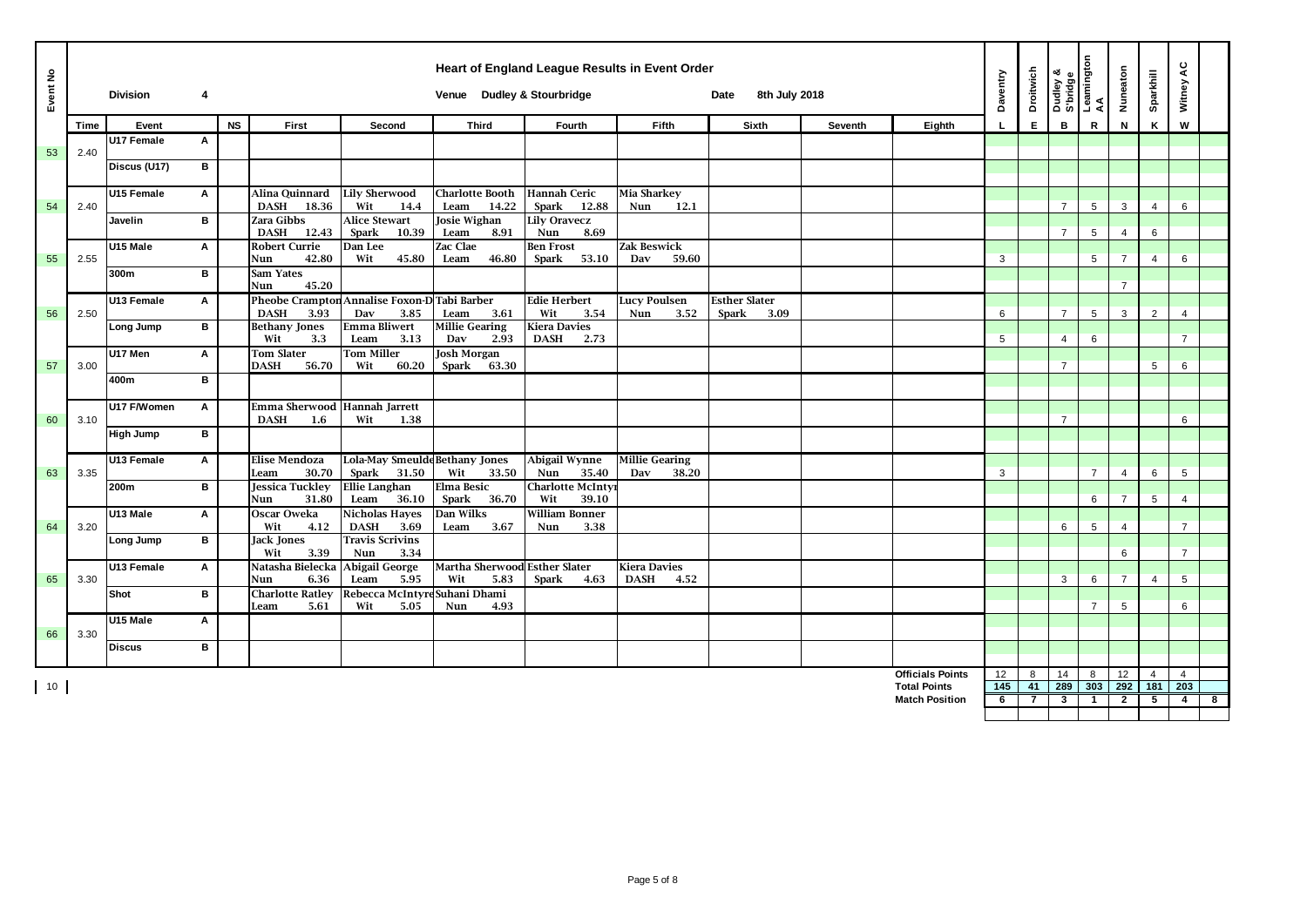| Event No           |      | <b>Division</b>  | 4 |           |                                                    |                                                         | Heart of England League Results in Event Order<br>Venue Dudley & Stourbridge |                                      |                                            | 8th July 2018<br>Date        |         |                         | Daventry  | <b>Droitwich</b> | Dudley &<br>S'bridge<br>Leamington<br>AA |                | Nuneaton       | Sparkhill             | Witney AC             |   |
|--------------------|------|------------------|---|-----------|----------------------------------------------------|---------------------------------------------------------|------------------------------------------------------------------------------|--------------------------------------|--------------------------------------------|------------------------------|---------|-------------------------|-----------|------------------|------------------------------------------|----------------|----------------|-----------------------|-----------------------|---|
|                    | Time | Event            |   | <b>NS</b> | First                                              | Second                                                  | <b>Third</b>                                                                 | Fourth                               | Fifth                                      | Sixth                        | Seventh | Eighth                  |           | E                | B                                        | R              | N              | K                     | W                     |   |
| 53                 | 2.40 | U17 Female       | Α |           |                                                    |                                                         |                                                                              |                                      |                                            |                              |         |                         |           |                  |                                          |                |                |                       |                       |   |
|                    |      | Discus (U17)     | в |           |                                                    |                                                         |                                                                              |                                      |                                            |                              |         |                         |           |                  |                                          |                |                |                       |                       |   |
|                    |      |                  |   |           |                                                    |                                                         |                                                                              |                                      |                                            |                              |         |                         |           |                  |                                          |                |                |                       |                       |   |
| 54                 | 2.40 | U15 Female       | Α |           | Alina Quinnard<br>DASH 18.36                       | <b>Lily Sherwood</b><br>Wit<br>14.4                     | <b>Charlotte Booth</b><br>Leam<br>14.22                                      | <b>Hannah Ceric</b><br>Spark 12.88   | Mia Sharkey<br>12.1<br>Nun                 |                              |         |                         |           |                  | $\overline{7}$                           | 5              | 3              | $\overline{4}$        | 6                     |   |
|                    |      | Javelin          | в |           | Zara Gibbs                                         | Alice Stewart                                           | <b>Josie Wighan</b>                                                          | <b>Lily Oravecz</b>                  |                                            |                              |         |                         |           |                  |                                          |                |                |                       |                       |   |
|                    |      |                  |   |           | 12.43<br><b>DASH</b>                               | Spark<br>10.39                                          | Leam<br>8.91                                                                 | Nun<br>8.69                          |                                            |                              |         |                         |           |                  | $\overline{7}$                           | 5              | 4              | 6                     |                       |   |
| 55                 | 2.55 | U15 Male         | A |           | <b>Robert Currie</b><br>42.80<br>Nun               | Dan Lee<br>Wit<br>45.80                                 | <b>Zac Clae</b><br>46.80<br>Leam                                             | <b>Ben Frost</b><br>53.10<br>Spark   | <b>Zak Beswick</b><br>59.60<br>Dav         |                              |         |                         | 3         |                  |                                          | 5              | $\overline{7}$ | $\overline{4}$        | 6                     |   |
|                    |      | 300m             | в |           | Sam Yates                                          |                                                         |                                                                              |                                      |                                            |                              |         |                         |           |                  |                                          |                |                |                       |                       |   |
|                    |      |                  |   |           | 45.20<br>Nun                                       |                                                         |                                                                              |                                      |                                            |                              |         |                         |           |                  |                                          |                | $\overline{7}$ |                       |                       |   |
| 56                 | 2.50 | U13 Female       | Α |           | <b>DASH</b><br>3.93                                | Pheobe Crampton Annalise Foxon-D Tabi Barber            | 3.61                                                                         | <b>Edie Herbert</b><br>Wit<br>3.54   | <b>Lucy Poulsen</b><br>Nun<br>3.52         | <b>Esther Slater</b><br>3.09 |         |                         | 6         |                  | $\overline{7}$                           | 5              | 3              | $\overline{2}$        | 4                     |   |
|                    |      | Long Jump        | в |           | <b>Bethany Jones</b>                               | 3.85<br>Dav<br><b>Emma Bliwert</b>                      | Leam<br><b>Millie Gearing</b>                                                | <b>Kiera Davies</b>                  |                                            | Spark                        |         |                         |           |                  |                                          |                |                |                       |                       |   |
|                    |      |                  |   |           | Wit<br>3.3                                         | Leam<br>3.13                                            | Dav<br>2.93                                                                  | <b>DASH</b><br>2.73                  |                                            |                              |         |                         | 5         |                  | 4                                        | 6              |                |                       | $\overline{7}$        |   |
| 57                 | 3.00 | U17 Men          | A |           | <b>Tom Slater</b><br><b>DASH</b><br>56.70          | <b>Tom Miller</b><br>Wit<br>60.20                       | <b>Josh Morgan</b><br>63.30<br>Spark                                         |                                      |                                            |                              |         |                         |           |                  | $\overline{7}$                           |                |                | 5                     | 6                     |   |
|                    |      | 400m             | B |           |                                                    |                                                         |                                                                              |                                      |                                            |                              |         |                         |           |                  |                                          |                |                |                       |                       |   |
|                    |      |                  |   |           |                                                    |                                                         |                                                                              |                                      |                                            |                              |         |                         |           |                  |                                          |                |                |                       |                       |   |
| 60                 | 3.10 | U17 F/Women      | A |           | Emma Sherwood Hannah Jarrett<br><b>DASH</b><br>1.6 | Wit<br>1.38                                             |                                                                              |                                      |                                            |                              |         |                         |           |                  | $\overline{7}$                           |                |                |                       | 6                     |   |
|                    |      | <b>High Jump</b> | в |           |                                                    |                                                         |                                                                              |                                      |                                            |                              |         |                         |           |                  |                                          |                |                |                       |                       |   |
|                    |      |                  |   |           |                                                    |                                                         |                                                                              |                                      |                                            |                              |         |                         |           |                  |                                          |                |                |                       |                       |   |
| 63                 | 3.35 | U13 Female       | Α |           | <b>Elise Mendoza</b><br>30.70<br>Leam              | <b>Lola-May Smeulde Bethany Jones</b><br>Spark<br>31.50 | Wit<br>33.50                                                                 | Abigail Wynne<br>35.40<br>Nun        | <b>Millie Gearing</b><br>Dav<br>38.20      |                              |         |                         | 3         |                  |                                          | $\overline{7}$ | $\overline{4}$ | 6                     | 5                     |   |
|                    |      | 200m             | в |           | <b>Jessica Tuckley</b>                             | <b>Ellie Langhan</b>                                    | <b>Elma Besic</b>                                                            | <b>Charlotte McInty:</b>             |                                            |                              |         |                         |           |                  |                                          |                |                |                       |                       |   |
|                    |      |                  |   |           | 31.80<br>Nun                                       | 36.10<br>Leam                                           | Spark<br>36.70                                                               | Wit<br>39.10                         |                                            |                              |         |                         |           |                  |                                          | 6              | $\overline{7}$ | 5                     | $\overline{4}$        |   |
| 64                 | 3.20 | U13 Male         | Α |           | Oscar Oweka<br>Wit<br>4.12                         | Nicholas Hayes<br><b>DASH</b><br>3.69                   | Dan Wilks<br>Leam<br>3.67                                                    | <b>William Bonner</b><br>3.38<br>Nun |                                            |                              |         |                         |           |                  | 6                                        | 5              | $\overline{4}$ |                       | $\overline{7}$        |   |
|                    |      | Long Jump        | в |           | Jack Jones                                         | <b>Travis Scrivins</b>                                  |                                                                              |                                      |                                            |                              |         |                         |           |                  |                                          |                |                |                       |                       |   |
|                    |      |                  |   |           | Wit<br>3.39                                        | 3.34<br>Nun                                             |                                                                              |                                      |                                            |                              |         |                         |           |                  |                                          |                | 6              |                       | $\overline{7}$        |   |
| 65                 | 3.30 | U13 Female       | Α |           | Natasha Bielecka<br>Nun<br>6.36                    | Abigail George<br>Leam<br>5.95                          | Martha Sherwood Esther Slater<br>Wit<br>5.83                                 | Spark<br>4.63                        | <b>Kiera Davies</b><br><b>DASH</b><br>4.52 |                              |         |                         |           |                  | 3                                        | 6              | $\overline{7}$ | $\overline{4}$        | 5                     |   |
|                    |      | Shot             | B |           | <b>Charlotte Ratley</b>                            | Rebecca McIntyre Suhani Dhami                           |                                                                              |                                      |                                            |                              |         |                         |           |                  |                                          |                |                |                       |                       |   |
|                    |      |                  |   |           | 5.61<br>Leam                                       | Wit<br>5.05                                             | Nun<br>4.93                                                                  |                                      |                                            |                              |         |                         |           |                  |                                          | $\overline{7}$ | 5              |                       | 6                     |   |
| 66                 | 3.30 | U15 Male         | A |           |                                                    |                                                         |                                                                              |                                      |                                            |                              |         |                         |           |                  |                                          |                |                |                       |                       |   |
|                    |      | <b>Discus</b>    | B |           |                                                    |                                                         |                                                                              |                                      |                                            |                              |         |                         |           |                  |                                          |                |                |                       |                       |   |
|                    |      |                  |   |           |                                                    |                                                         |                                                                              |                                      |                                            |                              |         | <b>Officials Points</b> |           |                  |                                          |                |                |                       |                       |   |
| $\vert$ 10 $\vert$ |      |                  |   |           |                                                    |                                                         |                                                                              |                                      |                                            |                              |         | <b>Total Points</b>     | 12<br>145 | 8<br>41          | 14<br>289                                | 8<br>303       | 12<br>292      | $\overline{4}$<br>181 | $\overline{4}$<br>203 |   |
|                    |      |                  |   |           |                                                    |                                                         |                                                                              |                                      |                                            |                              |         | <b>Match Position</b>   | 6         | $\overline{7}$   | $\mathbf{3}$                             | $\mathbf{1}$   | $\overline{2}$ | $5^{\circ}$           | $\overline{4}$        | 8 |
|                    |      |                  |   |           |                                                    |                                                         |                                                                              |                                      |                                            |                              |         |                         |           |                  |                                          |                |                |                       |                       |   |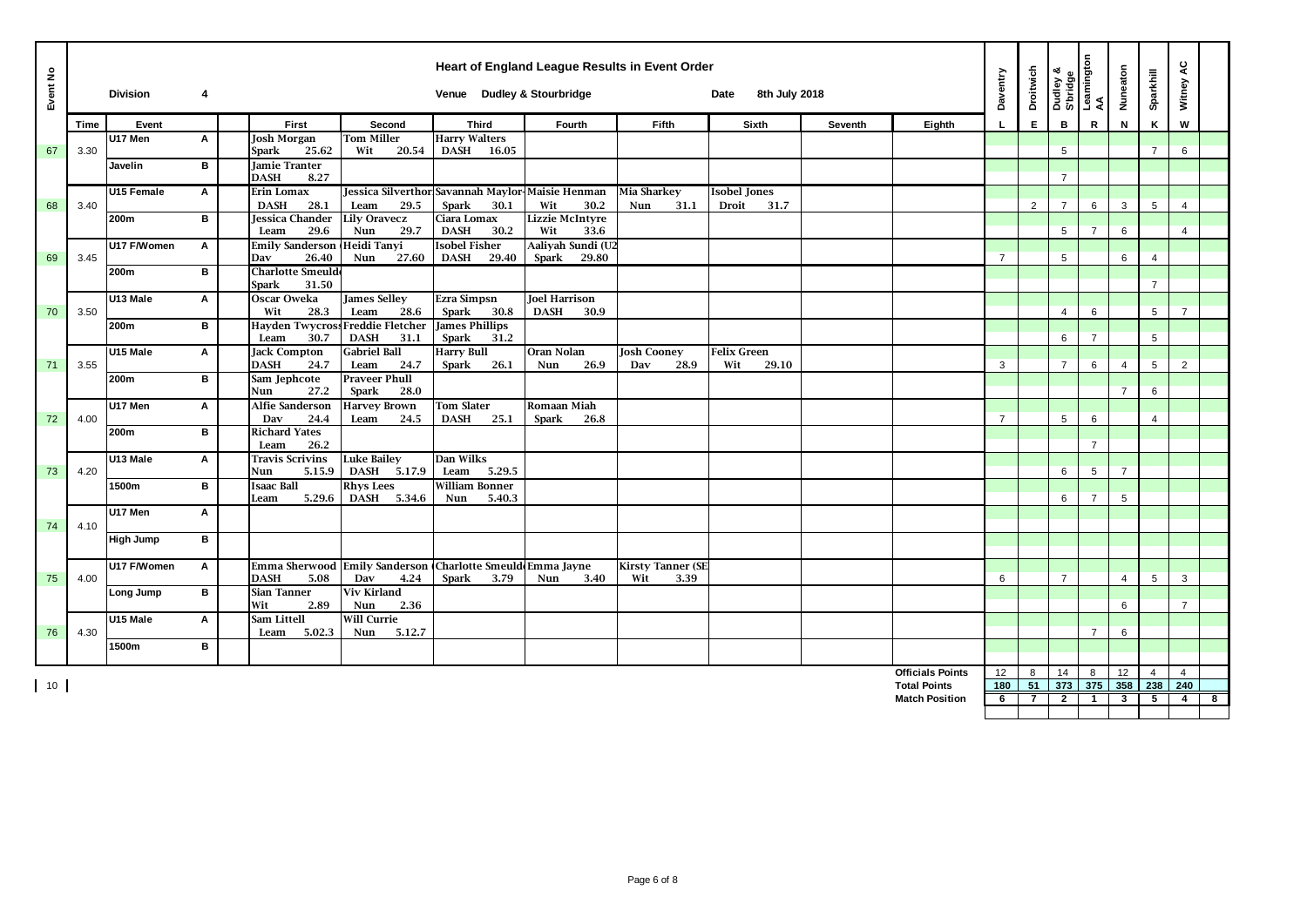| Event No |      | <b>Division</b> | $\overline{4}$ |                                             |                                                           | Venue Dudley & Stourbridge                       |                                            | Heart of England League Results in Event Order | 8th July 2018<br>Date |         |                         | Daventry       | Droitwich      |                | Dudley &<br>S'bridge<br>Leamington<br>AA | Nuneaton       | Sparkhill       | Witney AC      |   |
|----------|------|-----------------|----------------|---------------------------------------------|-----------------------------------------------------------|--------------------------------------------------|--------------------------------------------|------------------------------------------------|-----------------------|---------|-------------------------|----------------|----------------|----------------|------------------------------------------|----------------|-----------------|----------------|---|
|          | Time | Event           |                | <b>First</b>                                | Second                                                    | <b>Third</b>                                     | Fourth                                     | Fifth                                          | Sixth                 | Seventh | Eighth                  |                | E              | в              | $\mathbb{R}$                             | N              | Κ               | W              |   |
| 67       | 3.30 | U17 Men         | A              | <b>Josh Morgan</b><br><b>Spark</b><br>25.62 | <b>Tom Miller</b><br>Wit<br>20.54                         | <b>Harry Walters</b><br>DASH 16.05               |                                            |                                                |                       |         |                         |                |                | 5              |                                          |                | $\overline{7}$  | 6              |   |
|          |      | Javelin         | $\mathbf{B}$   | <b>Jamie Tranter</b><br><b>DASH</b><br>8.27 |                                                           |                                                  |                                            |                                                |                       |         |                         |                |                | $\overline{7}$ |                                          |                |                 |                |   |
|          |      | U15 Female      | Α              | Erin Lomax                                  |                                                           | Jessica Silverthor Savannah Maylor-Maisie Henman |                                            | <b>Mia Sharkey</b>                             | <b>Isobel Jones</b>   |         |                         |                |                |                |                                          |                |                 |                |   |
| 68       | 3.40 |                 |                | 28.1<br><b>DASH</b>                         | 29.5<br>Leam                                              | <b>Spark</b><br>30.1                             | Wit<br>30.2                                | Nun<br>31.1                                    | Droit<br>31.7         |         |                         |                | $\overline{2}$ | $\overline{7}$ | 6                                        | 3              | $5\overline{5}$ | 4              |   |
|          |      | 200m            | B              | Jessica Chander<br>29.6<br>Leam             | <b>Lily Oravecz</b><br>Nun<br>29.7                        | Ciara Lomax<br><b>DASH</b><br>30.2               | Lizzie McIntyre<br>Wit<br>33.6             |                                                |                       |         |                         |                |                | 5              | $\overline{7}$                           | 6              |                 | $\overline{4}$ |   |
| 69       | 3.45 | U17 F/Women     | Α              | <b>Emily Sanderson</b><br>26.40<br>Dav      | Heidi Tanyi<br>27.60<br>Nun                               | <b>Isobel Fisher</b><br><b>DASH</b><br>29.40     | Aaliyah Sundi (U2<br><b>Spark</b><br>29.80 |                                                |                       |         |                         | $\overline{7}$ |                | 5              |                                          | 6              | $\overline{4}$  |                |   |
|          |      | 200m            | B              | <b>Charlotte Smeulde</b><br>31.50<br>Spark  |                                                           |                                                  |                                            |                                                |                       |         |                         |                |                |                |                                          |                | $\overline{7}$  |                |   |
|          |      | U13 Male        | Α              | Oscar Oweka                                 | <b>James Selley</b>                                       | Ezra Simpsn                                      | <b>Joel Harrison</b>                       |                                                |                       |         |                         |                |                |                |                                          |                |                 |                |   |
| 70       | 3.50 |                 |                | 28.3<br>Wit                                 | 28.6<br>Leam                                              | <b>Spark</b><br>30.8                             | <b>DASH</b><br>30.9                        |                                                |                       |         |                         |                |                | 4              | 6                                        |                | 5               | $\overline{7}$ |   |
|          |      | 200m            | В              | 30.7<br>Leam                                | Hayden Twycross Freddie Fletcher<br><b>DASH</b><br>31.1   | <b>James Phillips</b><br>Spark<br>31.2           |                                            |                                                |                       |         |                         |                |                | 6              | $\overline{7}$                           |                | 5               |                |   |
|          |      | U15 Male        | A              | <b>Jack Compton</b>                         | <b>Gabriel Ball</b>                                       | <b>Harry Bull</b>                                | Oran Nolan                                 | <b>Josh Cooney</b>                             | <b>Felix Green</b>    |         |                         |                |                |                |                                          |                |                 |                |   |
| 71       | 3.55 |                 |                | 24.7<br><b>DASH</b>                         | 24.7<br>Leam                                              | <b>Spark</b><br>26.1                             | 26.9<br>Nun                                | 28.9<br>Dav                                    | Wit<br>29.10          |         |                         | 3              |                | $\overline{7}$ | 6                                        | $\overline{4}$ | 5               | $\overline{2}$ |   |
|          |      | 200m            | $\mathbf{B}$   | Sam Jephcote<br>27.2<br>Nun                 | <b>Praveer Phull</b><br>28.0<br>Spark                     |                                                  |                                            |                                                |                       |         |                         |                |                |                |                                          | $\overline{7}$ | 6               |                |   |
|          |      | U17 Men         | A              | Alfie Sanderson                             | <b>Harvey Brown</b>                                       | <b>Tom Slater</b>                                | Romaan Miah                                |                                                |                       |         |                         |                |                |                |                                          |                |                 |                |   |
| 72       | 4.00 |                 |                | Dav<br>24.4                                 | 24.5<br>Leam                                              | <b>DASH</b><br>25.1                              | <b>Spark</b><br>26.8                       |                                                |                       |         |                         | $\overline{7}$ |                | 5              | 6                                        |                | $\overline{4}$  |                |   |
|          |      | 200m            | B              | <b>Richard Yates</b><br>26.2<br>Leam        |                                                           |                                                  |                                            |                                                |                       |         |                         |                |                |                | $\overline{7}$                           |                |                 |                |   |
| 73       | 4.20 | U13 Male        | Α              | <b>Travis Scrivins</b><br>Nun<br>5.15.9     | <b>Luke Bailey</b><br>DASH 5.17.9                         | Dan Wilks<br>Leam<br>5.29.5                      |                                            |                                                |                       |         |                         |                |                | 6              | 5                                        | $\overline{7}$ |                 |                |   |
|          |      | 1500m           | В              | <b>Isaac Ball</b>                           | <b>Rhys Lees</b>                                          | <b>William Bonner</b>                            |                                            |                                                |                       |         |                         |                |                |                |                                          |                |                 |                |   |
|          |      |                 |                | 5.29.6<br>Leam                              | DASH 5.34.6                                               | Nun<br>5.40.3                                    |                                            |                                                |                       |         |                         |                |                | 6              | $\overline{7}$                           | 5              |                 |                |   |
| 74       | 4.10 | U17 Men         | $\mathsf{A}$   |                                             |                                                           |                                                  |                                            |                                                |                       |         |                         |                |                |                |                                          |                |                 |                |   |
|          |      | High Jump       | В              |                                             |                                                           |                                                  |                                            |                                                |                       |         |                         |                |                |                |                                          |                |                 |                |   |
|          |      | U17 F/Women     | Α              |                                             | Emma Sherwood Emily Sanderson Charlotte Smeuld Emma Jayne |                                                  |                                            | <b>Kirsty Tanner (SE</b>                       |                       |         |                         |                |                |                |                                          |                |                 |                |   |
| 75       | 4.00 |                 |                | <b>DASH</b><br>5.08                         | Dav<br>4.24                                               | Spark<br>3.79                                    | Nun<br>3.40                                | Wit<br>3.39                                    |                       |         |                         | 6              |                | $\overline{7}$ |                                          | $\overline{4}$ | $5\overline{5}$ | 3              |   |
|          |      | Long Jump       | B              | <b>Sian Tanner</b><br>Wit<br>2.89           | <b>Viv Kirland</b><br>2.36<br>Nun                         |                                                  |                                            |                                                |                       |         |                         |                |                |                |                                          | 6              |                 | $\overline{7}$ |   |
|          |      | U15 Male        | Α              | Sam Littell                                 | <b>Will Currie</b>                                        |                                                  |                                            |                                                |                       |         |                         |                |                |                |                                          |                |                 |                |   |
| 76       | 4.30 |                 |                | 5.02.3<br>Leam                              | 5.12.7<br>Nun                                             |                                                  |                                            |                                                |                       |         |                         |                |                |                | $\overline{7}$                           | 6              |                 |                |   |
|          |      | 1500m           | $\mathbf{B}$   |                                             |                                                           |                                                  |                                            |                                                |                       |         |                         |                |                |                |                                          |                |                 |                |   |
|          |      |                 |                |                                             |                                                           |                                                  |                                            |                                                |                       |         | <b>Officials Points</b> | 12             | 8              | 14             | 8                                        | 12             | $\overline{4}$  | $\overline{4}$ |   |
| 10       |      |                 |                |                                             |                                                           |                                                  |                                            |                                                |                       |         | <b>Total Points</b>     | 180            | 51             | 373            | 375                                      | 358            | 238             | 240            |   |
|          |      |                 |                |                                             |                                                           |                                                  |                                            |                                                |                       |         | <b>Match Position</b>   | 6              | $\mathbf{7}$   | $\mathbf{2}$   | -1                                       | 3              | 5               | $\overline{4}$ | 8 |
|          |      |                 |                |                                             |                                                           |                                                  |                                            |                                                |                       |         |                         |                |                |                |                                          |                |                 |                |   |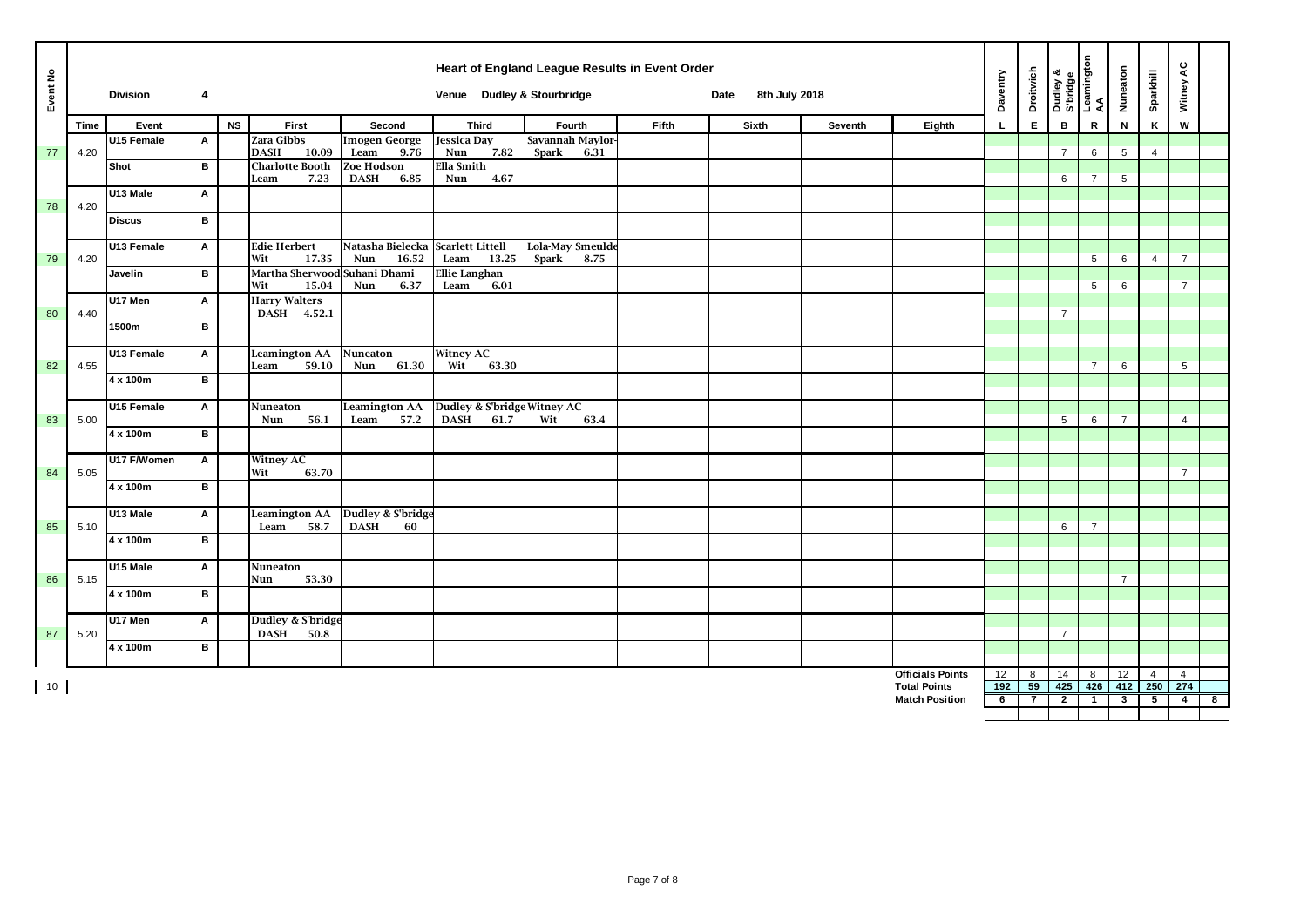| Event No |             | <b>Division</b> | 4                         |           |                                        |                                                   | Venue Dudley & Stourbridge                         | Heart of England League Results in Event Order |       | 8th July 2018<br>Date |         |                         | Daventry     | <b>Droitwich</b> | Dudley &<br>S'bridge<br>Leamington<br>AA |                 | Nuneaton       | Sparkhill      | Witney AC      |                         |
|----------|-------------|-----------------|---------------------------|-----------|----------------------------------------|---------------------------------------------------|----------------------------------------------------|------------------------------------------------|-------|-----------------------|---------|-------------------------|--------------|------------------|------------------------------------------|-----------------|----------------|----------------|----------------|-------------------------|
|          | <b>Time</b> | Event           |                           | <b>NS</b> | First                                  | Second                                            | <b>Third</b>                                       | Fourth                                         | Fifth | Sixth                 | Seventh | Eighth                  | $\mathbf{L}$ | E.               | B                                        | ${\mathbf R}$   | N              | K              | W              |                         |
| 77       | 4.20        | U15 Female      | Α                         |           | Zara Gibbs<br>10.09<br><b>DASH</b>     | <b>Imogen George</b><br>9.76<br>Leam              | <b>Jessica Day</b><br>7.82<br>Nun                  | Savannah Maylor-<br>Spark<br>6.31              |       |                       |         |                         |              |                  | $\overline{7}$                           | 6               | 5              | $\overline{4}$ |                |                         |
|          |             | Shot            | в                         |           | <b>Charlotte Booth</b><br>7.23<br>Leam | Zoe Hodson<br><b>DASH</b><br>6.85                 | Ella Smith<br>Nun<br>4.67                          |                                                |       |                       |         |                         |              |                  | 6                                        | $\overline{7}$  | 5              |                |                |                         |
| 78       | 4.20        | U13 Male        | A                         |           |                                        |                                                   |                                                    |                                                |       |                       |         |                         |              |                  |                                          |                 |                |                |                |                         |
|          |             | <b>Discus</b>   | B                         |           |                                        |                                                   |                                                    |                                                |       |                       |         |                         |              |                  |                                          |                 |                |                |                |                         |
| 79       | 4.20        | U13 Female      | Α                         |           | <b>Edie Herbert</b><br>Wit<br>17.35    | Natasha Bielecka Scarlett Littell<br>16.52<br>Nun | 13.25<br>Leam                                      | Lola-May Smeulde<br>Spark<br>8.75              |       |                       |         |                         |              |                  |                                          | $5\overline{5}$ | 6              | $\overline{4}$ | $\overline{7}$ |                         |
|          |             | Javelin         | B                         |           | Martha Sherwood Suhani Dhami           |                                                   | <b>Ellie Langhan</b>                               |                                                |       |                       |         |                         |              |                  |                                          | 5 <sup>5</sup>  |                |                |                |                         |
|          |             | U17 Men         | $\mathsf{A}$              |           | Wit<br>15.04<br><b>Harry Walters</b>   | Nun<br>6.37                                       | Leam<br>6.01                                       |                                                |       |                       |         |                         |              |                  |                                          |                 | 6              |                | $\overline{7}$ |                         |
| 80       | 4.40        | 1500m           | B                         |           | DASH 4.52.1                            |                                                   |                                                    |                                                |       |                       |         |                         |              |                  | $\overline{7}$                           |                 |                |                |                |                         |
|          |             | U13 Female      | $\mathbf{A}$              |           | <b>Leamington AA</b>                   | Nuneaton                                          | <b>Witney AC</b>                                   |                                                |       |                       |         |                         |              |                  |                                          |                 |                |                |                |                         |
| 82       | 4.55        | 4 x 100m        | B                         |           | 59.10<br>Leam                          | 61.30<br>Nun                                      | Wit<br>63.30                                       |                                                |       |                       |         |                         |              |                  |                                          | $\overline{7}$  | 6              |                | 5              |                         |
|          |             |                 |                           |           |                                        |                                                   |                                                    |                                                |       |                       |         |                         |              |                  |                                          |                 |                |                |                |                         |
| 83       | 5.00        | U15 Female      | $\mathsf{A}$              |           | Nuneaton<br>Nun<br>56.1                | <b>Leamington AA</b><br>57.2<br>Leam              | Dudley & S'bridge Witney AC<br><b>DASH</b><br>61.7 | 63.4<br>Wit                                    |       |                       |         |                         |              |                  | 5                                        | 6               | $\overline{7}$ |                | $\overline{4}$ |                         |
|          |             | 4 x 100m        | В                         |           |                                        |                                                   |                                                    |                                                |       |                       |         |                         |              |                  |                                          |                 |                |                |                |                         |
| 84       | 5.05        | U17 F/Women     | $\boldsymbol{\mathsf{A}}$ |           | <b>Witney AC</b><br>63.70<br>Wit       |                                                   |                                                    |                                                |       |                       |         |                         |              |                  |                                          |                 |                |                | $\overline{7}$ |                         |
|          |             | 4 x 100m        | В                         |           |                                        |                                                   |                                                    |                                                |       |                       |         |                         |              |                  |                                          |                 |                |                |                |                         |
| 85       | 5.10        | U13 Male        | A                         |           | <b>Leamington AA</b><br>58.7<br>Leam   | Dudley & S'bridge<br><b>DASH</b><br>60            |                                                    |                                                |       |                       |         |                         |              |                  | 6                                        | $\overline{7}$  |                |                |                |                         |
|          |             | 4 x 100m        | в                         |           |                                        |                                                   |                                                    |                                                |       |                       |         |                         |              |                  |                                          |                 |                |                |                |                         |
|          |             | U15 Male        | Α                         |           | Nuneaton<br>53.30                      |                                                   |                                                    |                                                |       |                       |         |                         |              |                  |                                          |                 | $\overline{7}$ |                |                |                         |
| 86       | 5.15        | 4 x 100m        | в                         |           | Nun                                    |                                                   |                                                    |                                                |       |                       |         |                         |              |                  |                                          |                 |                |                |                |                         |
|          |             | U17 Men         | Α                         |           | Dudley & S'bridge                      |                                                   |                                                    |                                                |       |                       |         |                         |              |                  |                                          |                 |                |                |                |                         |
| 87       | 5.20        | 4 x 100m        | в                         |           | <b>DASH</b><br>50.8                    |                                                   |                                                    |                                                |       |                       |         |                         |              |                  | $\overline{7}$                           |                 |                |                |                |                         |
|          |             |                 |                           |           |                                        |                                                   |                                                    |                                                |       |                       |         | <b>Officials Points</b> |              | 8                |                                          |                 |                | $\overline{4}$ | $\overline{4}$ |                         |
| 10       |             |                 |                           |           |                                        |                                                   |                                                    |                                                |       |                       |         | <b>Total Points</b>     | 12<br>192    | 59               | 14<br>425                                | 8<br>426        | 12<br>412      | 250            | 274            |                         |
|          |             |                 |                           |           |                                        |                                                   |                                                    |                                                |       |                       |         | <b>Match Position</b>   | 6            | $\overline{7}$   | $\overline{2}$                           | $\mathbf{1}$    | $\mathbf{3}$   | 5 <sub>5</sub> | 4              | $\overline{\mathbf{8}}$ |
|          |             |                 |                           |           |                                        |                                                   |                                                    |                                                |       |                       |         |                         |              |                  |                                          |                 |                |                |                |                         |